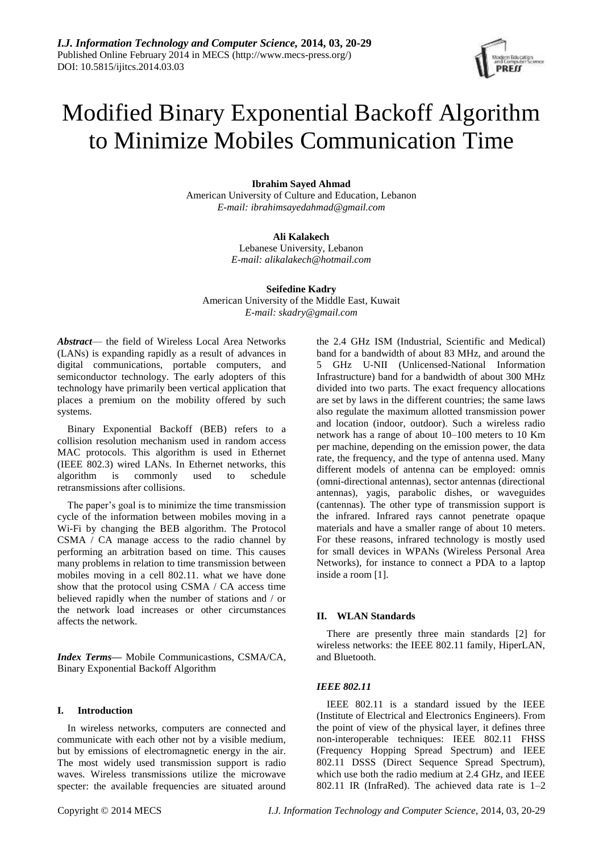# Modified Binary Exponential Backoff Algorithm to Minimize Mobiles Communication Time

## **Ibrahim Sayed Ahmad**

American University of Culture and Education, Lebanon *E-mail: ibrahimsayedahmad@gmail.com*

## **Ali Kalakech**

Lebanese University, Lebanon *E-mail: alikalakech@hotmail.com*

**Seifedine Kadry** American University of the Middle East, Kuwait *E-mail: skadry@gmail.com*

*Abstract*— the field of Wireless Local Area Networks (LANs) is expanding rapidly as a result of advances in digital communications, portable computers, and semiconductor technology. The early adopters of this technology have primarily been vertical application that places a premium on the mobility offered by such systems.

Binary Exponential Backoff (BEB) refers to a collision resolution mechanism used in random access MAC protocols. This algorithm is used in Ethernet (IEEE 802.3) wired LANs. In Ethernet networks, this algorithm is commonly used to schedule retransmissions after collisions.

The paper's goal is to minimize the time transmission cycle of the information between mobiles moving in a Wi-Fi by changing the BEB algorithm. The Protocol CSMA / CA manage access to the radio channel by performing an arbitration based on time. This causes many problems in relation to time transmission between mobiles moving in a cell 802.11. what we have done show that the protocol using CSMA / CA access time believed rapidly when the number of stations and / or the network load increases or other circumstances affects the network.

*Index Terms***—** Mobile Communicastions, CSMA/CA, Binary Exponential Backoff Algorithm

## **I. Introduction**

In wireless networks, computers are connected and communicate with each other not by a visible medium, but by emissions of electromagnetic energy in the air. The most widely used transmission support is radio waves. Wireless transmissions utilize the microwave specter: the available frequencies are situated around

the 2.4 GHz ISM (Industrial, Scientific and Medical) band for a bandwidth of about 83 MHz, and around the 5 GHz U-NII (Unlicensed-National Information Infrastructure) band for a bandwidth of about 300 MHz divided into two parts. The exact frequency allocations are set by laws in the different countries; the same laws also regulate the maximum allotted transmission power and location (indoor, outdoor). Such a wireless radio network has a range of about 10–100 meters to 10 Km per machine, depending on the emission power, the data rate, the frequency, and the type of antenna used. Many different models of antenna can be employed: omnis (omni-directional antennas), sector antennas (directional antennas), yagis, parabolic dishes, or waveguides (cantennas). The other type of transmission support is the infrared. Infrared rays cannot penetrate opaque materials and have a smaller range of about 10 meters. For these reasons, infrared technology is mostly used for small devices in WPANs (Wireless Personal Area Networks), for instance to connect a PDA to a laptop inside a room [1].

## **II. WLAN Standards**

There are presently three main standards [2] for wireless networks: the IEEE 802.11 family, HiperLAN, and Bluetooth.

## *IEEE 802.11*

IEEE 802.11 is a standard issued by the IEEE (Institute of Electrical and Electronics Engineers). From the point of view of the physical layer, it defines three non-interoperable techniques: IEEE 802.11 FHSS (Frequency Hopping Spread Spectrum) and IEEE 802.11 DSSS (Direct Sequence Spread Spectrum), which use both the radio medium at 2.4 GHz, and IEEE 802.11 IR (InfraRed). The achieved data rate is 1–2

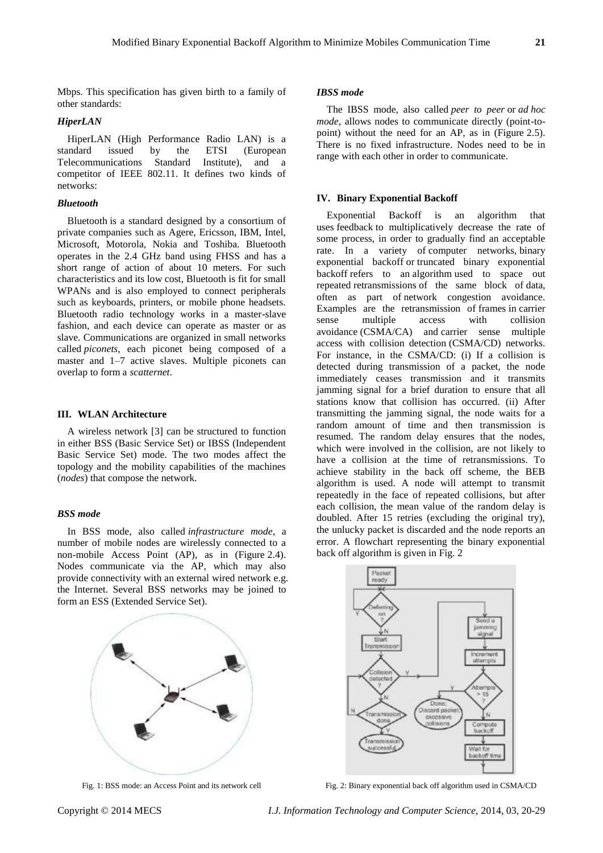Mbps. This specification has given birth to a family of other standards:

## *HiperLAN*

HiperLAN (High Performance Radio LAN) is a standard issued by the ETSI (European issued by the ETSI (European Telecommunications Standard Institute), and a competitor of IEEE 802.11. It defines two kinds of networks:

## *Bluetooth*

Bluetooth is a standard designed by a consortium of private companies such as Agere, Ericsson, IBM, Intel, Microsoft, Motorola, Nokia and Toshiba. Bluetooth operates in the 2.4 GHz band using FHSS and has a short range of action of about 10 meters. For such characteristics and its low cost, Bluetooth is fit for small WPANs and is also employed to connect peripherals such as keyboards, printers, or mobile phone headsets. Bluetooth radio technology works in a master-slave fashion, and each device can operate as master or as slave. Communications are organized in small networks called *piconets*, each piconet being composed of a master and 1–7 active slaves. Multiple piconets can overlap to form a *scatternet*.

#### **III. WLAN Architecture**

A wireless network [3] can be structured to function in either BSS (Basic Service Set) or IBSS (Independent Basic Service Set) mode. The two modes affect the topology and the mobility capabilities of the machines (*nodes*) that compose the network.

### *BSS mode*

In BSS mode, also called *infrastructure mode*, a number of mobile nodes are wirelessly connected to a non-mobile Access Point (AP), as in (Figure 2.4). Nodes communicate via the AP, which may also provide connectivity with an external wired network e.g. the Internet. Several BSS networks may be joined to form an ESS (Extended Service Set).



Fig. 1: BSS mode: an Access Point and its network cell

#### *IBSS mode*

The IBSS mode, also called *peer to peer* or *ad hoc mode*, allows nodes to communicate directly (point-topoint) without the need for an AP, as in (Figure 2.5). There is no fixed infrastructure. Nodes need to be in range with each other in order to communicate.

#### **IV. Binary Exponential Backoff**

Exponential Backoff is an algorithm that uses feedback to multiplicatively decrease the rate of some process, in order to gradually find an acceptable rate. In a variety of computer networks, binary exponential backoff or truncated binary exponential backoff refers to an algorithm used to space out repeated retransmissions of the same block of data, often as part of network congestion avoidance. Examples are the retransmission of frames in carrier<br>sense multiple access with collision sense multiple access with collision avoidance (CSMA/CA) and carrier sense multiple access with collision detection (CSMA/CD) networks. For instance, in the CSMA/CD: (i) If a collision is detected during transmission of a packet, the node immediately ceases transmission and it transmits jamming signal for a brief duration to ensure that all stations know that collision has occurred. (ii) After transmitting the jamming signal, the node waits for a random amount of time and then transmission is resumed. The random delay ensures that the nodes, which were involved in the collision, are not likely to have a collision at the time of retransmissions. To achieve stability in the back off scheme, the BEB algorithm is used. A node will attempt to transmit repeatedly in the face of repeated collisions, but after each collision, the mean value of the random delay is doubled. After 15 retries (excluding the original try), the unlucky packet is discarded and the node reports an error. A flowchart representing the binary exponential back off algorithm is given in Fig. 2



Fig. 2: Binary exponential back off algorithm used in CSMA/CD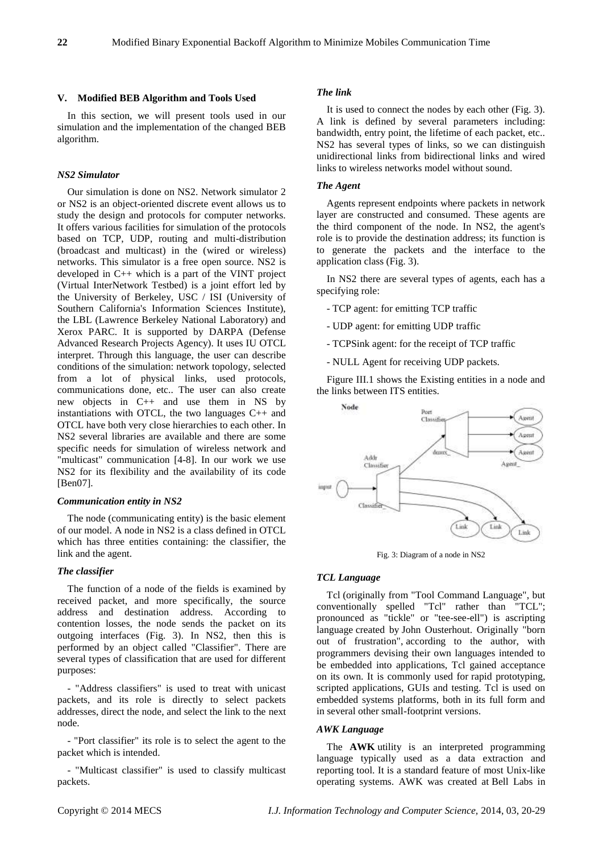#### **V. Modified BEB Algorithm and Tools Used**

In this section, we will present tools used in our simulation and the implementation of the changed BEB algorithm.

## *NS2 Simulator*

Our simulation is done on NS2. Network simulator 2 or NS2 is an object-oriented discrete event allows us to study the design and protocols for computer networks. It offers various facilities for simulation of the protocols based on TCP, UDP, routing and multi-distribution (broadcast and multicast) in the (wired or wireless) networks. This simulator is a free open source. NS2 is developed in C++ which is a part of the VINT project (Virtual InterNetwork Testbed) is a joint effort led by the University of Berkeley, USC / ISI (University of Southern California's Information Sciences Institute), the LBL (Lawrence Berkeley National Laboratory) and Xerox PARC. It is supported by DARPA (Defense Advanced Research Projects Agency). It uses IU OTCL interpret. Through this language, the user can describe conditions of the simulation: network topology, selected from a lot of physical links, used protocols, communications done, etc.. The user can also create new objects in C++ and use them in NS by instantiations with OTCL, the two languages C++ and OTCL have both very close hierarchies to each other. In NS2 several libraries are available and there are some specific needs for simulation of wireless network and "multicast" communication [4-8]. In our work we use NS2 for its flexibility and the availability of its code [Ben07].

#### *Communication entity in NS2*

The node (communicating entity) is the basic element of our model. A node in NS2 is a class defined in OTCL which has three entities containing: the classifier, the link and the agent.

#### *The classifier*

The function of a node of the fields is examined by received packet, and more specifically, the source address and destination address. According to contention losses, the node sends the packet on its outgoing interfaces (Fig. 3). In NS2, then this is performed by an object called "Classifier". There are several types of classification that are used for different purposes:

- "Address classifiers" is used to treat with unicast packets, and its role is directly to select packets addresses, direct the node, and select the link to the next node.

- "Port classifier" its role is to select the agent to the packet which is intended.

- "Multicast classifier" is used to classify multicast packets.

### *The link*

It is used to connect the nodes by each other (Fig. 3). A link is defined by several parameters including: bandwidth, entry point, the lifetime of each packet, etc.. NS2 has several types of links, so we can distinguish unidirectional links from bidirectional links and wired links to wireless networks model without sound.

#### *The Agent*

Agents represent endpoints where packets in network layer are constructed and consumed. These agents are the third component of the node. In NS2, the agent's role is to provide the destination address; its function is to generate the packets and the interface to the application class (Fig. 3).

In NS2 there are several types of agents, each has a specifying role:

- TCP agent: for emitting TCP traffic
- UDP agent: for emitting UDP traffic
- TCPSink agent: for the receipt of TCP traffic
- NULL Agent for receiving UDP packets.

Figure III.1 shows the Existing entities in a node and the links between ITS entities.



Fig. 3: Diagram of a node in NS2

### *TCL Language*

Tcl (originally from "Tool Command Language", but conventionally spelled "Tcl" rather than "TCL"; pronounced as "tickle" or "tee-see-ell") is ascripting language created by John Ousterhout. Originally "born out of frustration", according to the author, with programmers devising their own languages intended to be embedded into applications, Tcl gained acceptance on its own. It is commonly used for rapid prototyping, scripted applications, GUIs and testing. Tcl is used on embedded systems platforms, both in its full form and in several other small-footprint versions.

#### *AWK Language*

The **AWK** utility is an interpreted programming language typically used as a data extraction and reporting tool. It is a standard feature of most Unix-like operating systems. AWK was created at Bell Labs in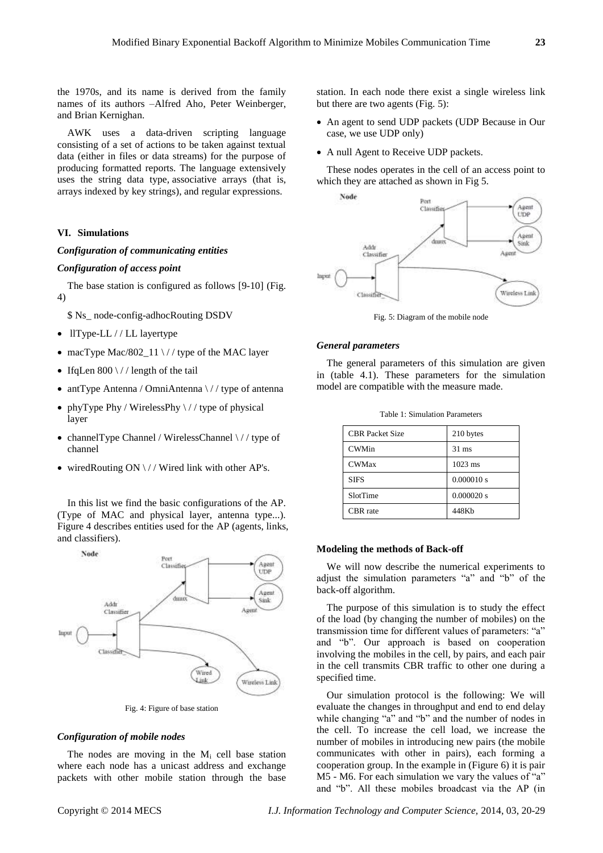the 1970s, and its name is derived from the family names of its authors –Alfred Aho, Peter Weinberger, and Brian Kernighan.

AWK uses a data-driven scripting language consisting of a set of actions to be taken against textual data (either in files or data streams) for the purpose of producing formatted reports. The language extensively uses the string data type, associative arrays (that is, arrays indexed by key strings), and regular expressions.

## **VI. Simulations**

## *Configuration of communicating entities*

#### *Configuration of access point*

The base station is configured as follows [9-10] (Fig. 4)

\$ Ns\_ node-config-adhocRouting DSDV

- llType-LL / / LL layertype
- macType Mac/802  $11 \frac{\sqrt{7}}{10}$  type of the MAC layer
- IfqLen  $800 \frac{\sqrt{}}{\sqrt{}}$  length of the tail
- antType Antenna / OmniAntenna  $\frac{\sqrt{}}{\sqrt{}}$  type of antenna
- phyType Phy / WirelessPhy  $\frac{\ }{\ }$  / / type of physical layer
- channelType Channel / WirelessChannel \// type of channel
- wiredRouting ON  $\setminus$  / / Wired link with other AP's.

In this list we find the basic configurations of the AP. (Type of MAC and physical layer, antenna type...). Figure 4 describes entities used for the AP (agents, links, and classifiers).



Fig. 4: Figure of base station

## *Configuration of mobile nodes*

The nodes are moving in the  $M_i$  cell base station where each node has a unicast address and exchange packets with other mobile station through the base

station. In each node there exist a single wireless link but there are two agents (Fig. 5):

- An agent to send UDP packets (UDP Because in Our case, we use UDP only)
- A null Agent to Receive UDP packets.

These nodes operates in the cell of an access point to which they are attached as shown in Fig 5.



Fig. 5: Diagram of the mobile node

#### *General parameters*

The general parameters of this simulation are given in (table 4.1). These parameters for the simulation model are compatible with the measure made.

| <b>CBR</b> Packet Size | 210 bytes       |  |
|------------------------|-----------------|--|
| <b>CWMin</b>           | $31 \text{ ms}$ |  |
| <b>CWMax</b>           | $1023$ ms       |  |
| <b>SIFS</b>            | 0.000010 s      |  |
| SlotTime               | 0.000020 s      |  |
| CBR rate               | 448Kb           |  |

## Table 1: Simulation Parameters

## **Modeling the methods of Back-off**

We will now describe the numerical experiments to adjust the simulation parameters "a" and "b" of the back-off algorithm.

The purpose of this simulation is to study the effect of the load (by changing the number of mobiles) on the transmission time for different values of parameters: "a" and "b". Our approach is based on cooperation involving the mobiles in the cell, by pairs, and each pair in the cell transmits CBR traffic to other one during a specified time.

Our simulation protocol is the following: We will evaluate the changes in throughput and end to end delay while changing "a" and "b" and the number of nodes in the cell. To increase the cell load, we increase the number of mobiles in introducing new pairs (the mobile communicates with other in pairs), each forming a cooperation group. In the example in (Figure 6) it is pair M5 - M6. For each simulation we vary the values of "a" and "b". All these mobiles broadcast via the AP (in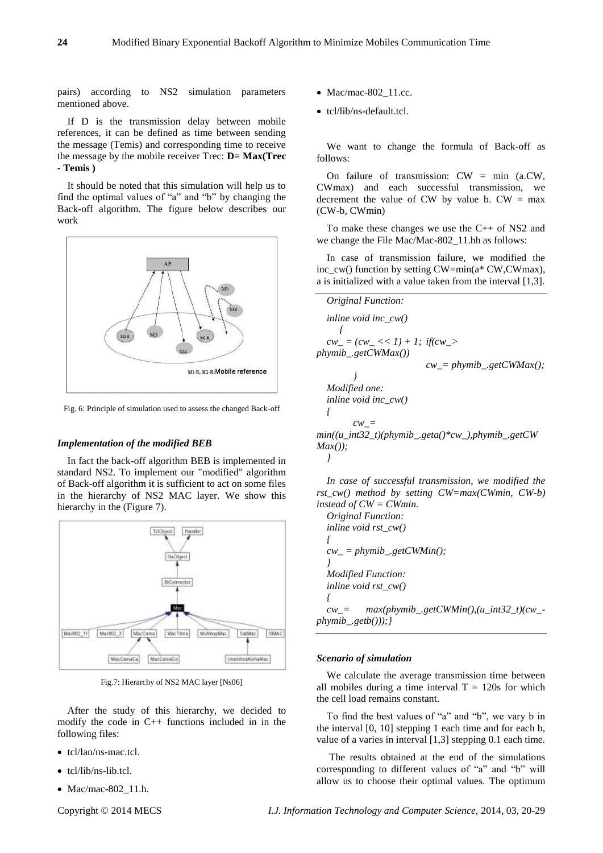pairs) according to NS2 simulation parameters mentioned above.

If D is the transmission delay between mobile references, it can be defined as time between sending the message (Temis) and corresponding time to receive the message by the mobile receiver Trec: **D= Max(Trec - Temis )**

It should be noted that this simulation will help us to find the optimal values of "a" and "b" by changing the Back-off algorithm. The figure below describes our work



Fig. 6: Principle of simulation used to assess the changed Back-off

#### *Implementation of the modified BEB*

In fact the back-off algorithm BEB is implemented in standard NS2. To implement our "modified" algorithm of Back-off algorithm it is sufficient to act on some files in the hierarchy of NS2 MAC layer. We show this hierarchy in the (Figure 7).



Fig.7: Hierarchy of NS2 MAC layer [Ns06]

After the study of this hierarchy, we decided to modify the code in C++ functions included in in the following files:

- tcl/lan/ns-mac.tcl.
- tcl/lib/ns-lib.tcl.
- Mac/mac-802 $\_11.h$ .

- $\bullet$  Mac/mac-802\_11.cc.
- tcl/lib/ns-default.tcl.

We want to change the formula of Back-off as follows:

On failure of transmission:  $CW = \min$  (a.CW, CWmax) and each successful transmission, we decrement the value of CW by value b.  $CW = max$ (CW-b, CWmin)

To make these changes we use the C++ of NS2 and we change the File Mac/Mac-802\_11.hh as follows:

In case of transmission failure, we modified the inc\_cw() function by setting CW=min(a\* CW,CWmax), a is initialized with a value taken from the interval [1,3].



*In case of successful transmission, we modified the rst\_cw() method by setting CW=max(CWmin, CW-b) instead of CW = CWmin.*

*Original Function: inline void rst\_cw() { cw\_ = phymib\_.getCWMin(); } Modified Function: inline void rst\_cw() { cw\_= max(phymib\_.getCWMin(),(u\_int32\_t)(cw\_ phymib\_.getb()));}*

#### *Scenario of simulation*

We calculate the average transmission time between all mobiles during a time interval  $T = 120s$  for which the cell load remains constant.

To find the best values of "a" and "b", we vary b in the interval [0, 10] stepping 1 each time and for each b, value of a varies in interval [1,3] stepping 0.1 each time.

The results obtained at the end of the simulations corresponding to different values of "a" and "b" will allow us to choose their optimal values. The optimum

Copyright © 2014 MECS *I.J. Information Technology and Computer Science,* 2014, 03, 20-29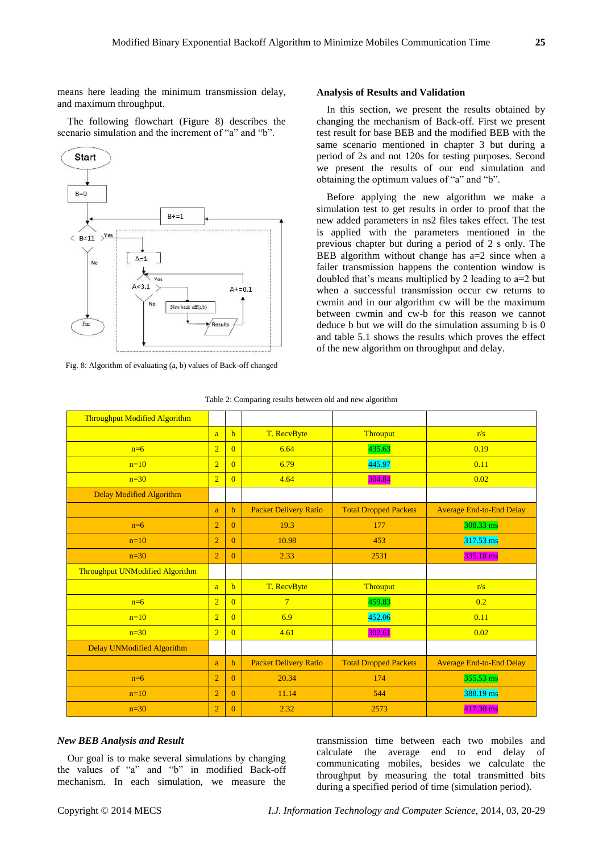means here leading the minimum transmission delay, and maximum throughput.

The following flowchart (Figure 8) describes the scenario simulation and the increment of "a" and "b".



Fig. 8: Algorithm of evaluating (a, b) values of Back-off changed

#### **Analysis of Results and Validation**

In this section, we present the results obtained by changing the mechanism of Back-off. First we present test result for base BEB and the modified BEB with the same scenario mentioned in chapter 3 but during a period of 2s and not 120s for testing purposes. Second we present the results of our end simulation and obtaining the optimum values of "a" and "b".

Before applying the new algorithm we make a simulation test to get results in order to proof that the new added parameters in ns2 files takes effect. The test is applied with the parameters mentioned in the previous chapter but during a period of 2 s only. The BEB algorithm without change has  $a=2$  since when a failer transmission happens the contention window is doubled that's means multiplied by 2 leading to a=2 but when a successful transmission occur cw returns to cwmin and in our algorithm cw will be the maximum between cwmin and cw-b for this reason we cannot deduce b but we will do the simulation assuming b is 0 and table 5.1 shows the results which proves the effect of the new algorithm on throughput and delay.

| <b>Throughput Modified Algorithm</b> |                |                |                              |                              |                                 |
|--------------------------------------|----------------|----------------|------------------------------|------------------------------|---------------------------------|
|                                      | a              | $\mathbf b$    | T. RecvByte                  | Throuput                     | r/s                             |
| $n=6$                                | $\overline{2}$ | $\Omega$       | 6.64                         | 435.63                       | 0.19                            |
| $n=10$                               | $\overline{2}$ | $\Omega$       | 6.79                         | 445.97                       | 0.11                            |
| $n=30$                               | $\overline{2}$ | $\Omega$       | 4.64                         | 304.84                       | 0.02                            |
| <b>Delay Modified Algorithm</b>      |                |                |                              |                              |                                 |
|                                      | a              | $\mathbf b$    | <b>Packet Delivery Ratio</b> | <b>Total Dropped Packets</b> | <b>Average End-to-End Delay</b> |
| $n=6$                                | $\overline{2}$ | $\Omega$       | 19.3                         | 177                          | 308.33 ms                       |
| $n=10$                               | $\overline{2}$ | $\overline{0}$ | 10.98                        | 453                          | $317.53 \text{ ms}$             |
| $n=30$                               | $\overline{2}$ | $\overline{0}$ | 2.33                         | 2531                         | 335.18 ms                       |
| Throughput UNModified Algorithm      |                |                |                              |                              |                                 |
|                                      | a.             | $\mathbf b$    | T. RecvByte                  | <b>Throuput</b>              | r/s                             |
| $n=6$                                | $\overline{2}$ | $\Omega$       | $7\overline{ }$              | 459.83                       | 0.2                             |
| $n=10$                               | $\overline{2}$ | $\overline{0}$ | 6.9                          | 452.06                       | 0.11                            |
| $n=30$                               | $\overline{2}$ | $\Omega$       | 4.61                         | 302.61                       | 0.02                            |
| <b>Delay UNModified Algorithm</b>    |                |                |                              |                              |                                 |
|                                      | a              | $\mathbf b$    | <b>Packet Delivery Ratio</b> | <b>Total Dropped Packets</b> | <b>Average End-to-End Delay</b> |
| $n=6$                                | $\overline{2}$ | $\Omega$       | 20.34                        | 174                          | 355.53 ms                       |
| $n=10$                               | $\overline{2}$ | $\Omega$       | 11.14                        | 544                          | 388.19 ms                       |
| $n=30$                               | $\overline{2}$ | $\overline{0}$ | 2.32                         | 2573                         | 417.30 ms                       |

#### Table 2: Comparing results between old and new algorithm

## *New BEB Analysis and Result*

Our goal is to make several simulations by changing the values of "a" and "b" in modified Back-off mechanism. In each simulation, we measure the

transmission time between each two mobiles and calculate the average end to end delay of communicating mobiles, besides we calculate the throughput by measuring the total transmitted bits during a specified period of time (simulation period).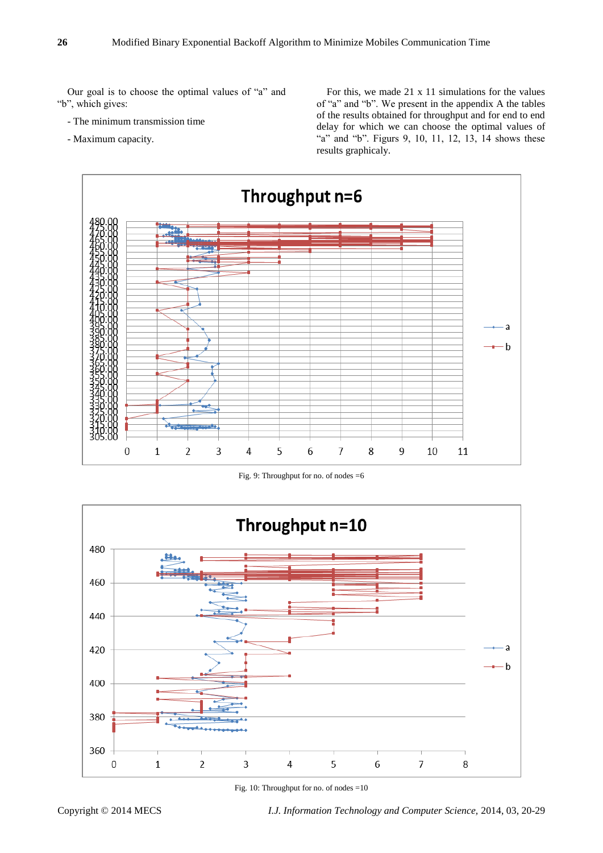Our goal is to choose the optimal values of "a" and "b", which gives:

- The minimum transmission time
- Maximum capacity.

For this, we made 21 x 11 simulations for the values of "a" and "b". We present in the appendix A the tables of the results obtained for throughput and for end to end delay for which we can choose the optimal values of "a" and "b". Figurs 9, 10, 11, 12, 13, 14 shows these results graphicaly.



Fig. 9: Throughput for no. of nodes =6



Fig. 10: Throughput for no. of nodes =10

Copyright © 2014 MECS *I.J. Information Technology and Computer Science,* 2014, 03, 20-29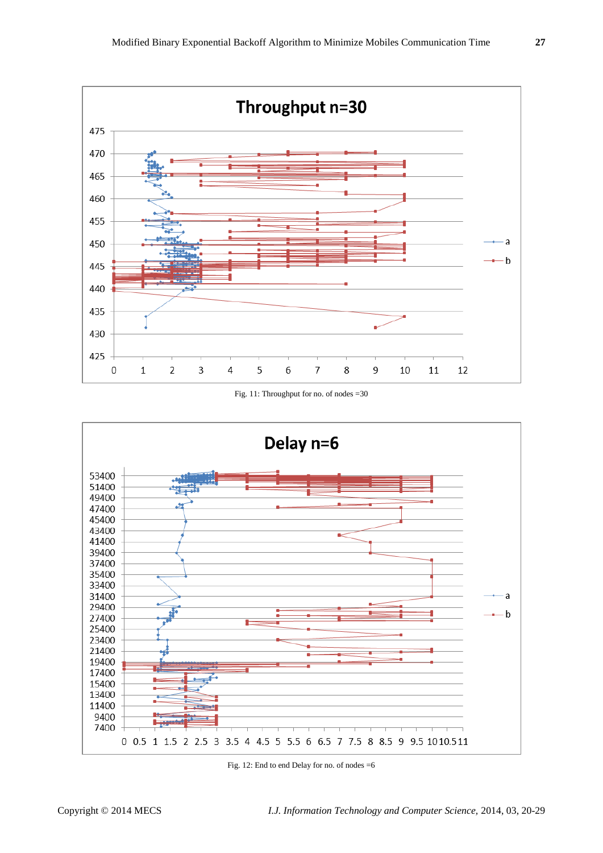

Fig. 11: Throughput for no. of nodes =30



Fig. 12: End to end Delay for no. of nodes =6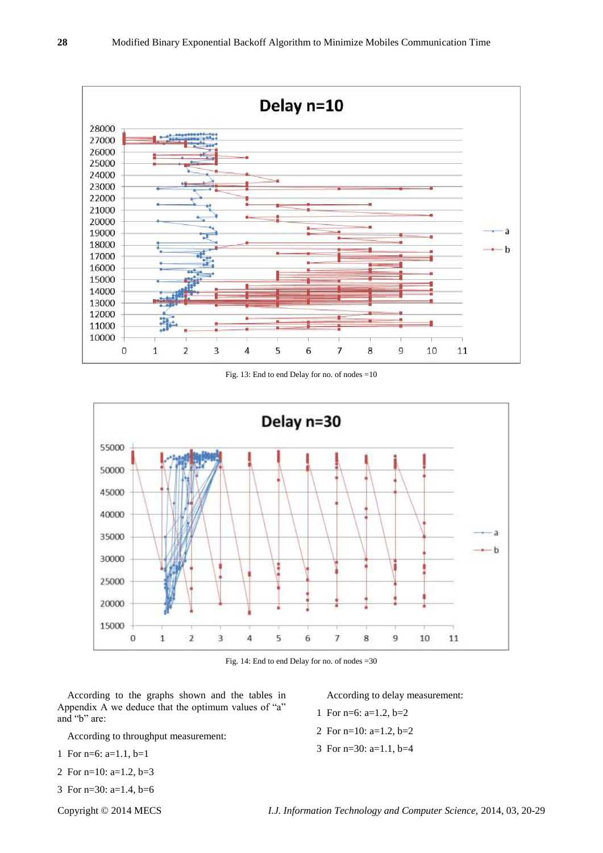

Fig. 13: End to end Delay for no. of nodes =10



Fig. 14: End to end Delay for no. of nodes =30

According to the graphs shown and the tables in Appendix A we deduce that the optimum values of "a" and "b" are:

According to throughput measurement:

- 1 For n=6: a=1.1, b=1
- 2 For n=10: a=1.2, b=3
- 3 For n=30: a=1.4, b=6

According to delay measurement:

- 1 For n=6: a=1.2, b=2
- 2 For n=10: a=1.2, b=2
- 3 For n=30: a=1.1, b=4

Copyright © 2014 MECS *I.J. Information Technology and Computer Science,* 2014, 03, 20-29